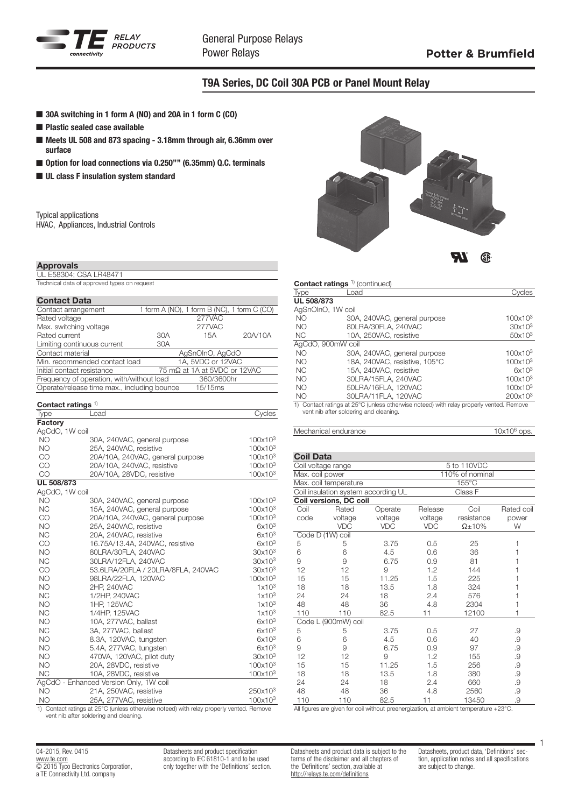

## T9A Series, DC Coil 30A PCB or Panel Mount Relay

- 30A switching in 1 form A (NO) and 20A in 1 form C (CO)
- $\blacksquare$  Plastic sealed case available
- Meets UL 508 and 873 spacing 3.18mm through air, 6.36mm over surface
- Option for load connections via 0.250"" (6.35mm) Q.C. terminals
- **n** UL class F insulation system standard

Typical applications HVAC, Appliances, Industrial Controls

## Approvals

UL E58304; CSA LR48471

Technical data of approved types on request

| <b>Contact Data</b>                         |     |                                             |         |
|---------------------------------------------|-----|---------------------------------------------|---------|
| Contact arrangement                         |     | 1 form A (NO), 1 form B (NC), 1 form C (CO) |         |
| Rated voltage                               |     | 277VAC                                      |         |
| Max. switching voltage                      |     | 277VAC                                      |         |
| Rated current                               | 30A | 15A                                         | 20A/10A |
| Limiting continuous current                 | 30A |                                             |         |
| Contact material                            |     | AgSnOInO, AgCdO                             |         |
| Min. recommended contact load               |     | 1A, 5VDC or 12VAC                           |         |
| Initial contact resistance                  |     | 75 mΩ at 1A at 5VDC or 12VAC                |         |
| Frequency of operation, with/without load   |     | 360/3600hr                                  |         |
| Operate/release time max., including bounce |     | 15/15 <sub>ms</sub>                         |         |
|                                             |     |                                             |         |

| Contact ratings $1$  |                                        |                               |
|----------------------|----------------------------------------|-------------------------------|
| Type                 | Load                                   | Cycles                        |
| Factory              |                                        |                               |
| AgCdO, 1W coil       |                                        |                               |
| <b>NO</b>            | 30A, 240VAC, general purpose           | 100x10 <sup>3</sup>           |
| <b>NO</b>            | 25A, 240VAC, resistive                 | 100x10 <sup>3</sup>           |
| CO                   | 20A/10A, 240VAC, general purpose       | 100x10 <sup>3</sup>           |
| CO                   | 20A/10A, 240VAC, resistive             | 100x10 <sup>3</sup>           |
| <b>CO</b>            | 20A/10A, 28VDC, resistive              | 100x10 <sup>3</sup>           |
| UL 508/873           |                                        |                               |
| AgCdO, 1W coil       |                                        |                               |
| <b>NO</b>            | 30A, 240VAC, general purpose           | 100x10 <sup>3</sup>           |
| <b>NC</b>            | 15A, 240VAC, general purpose           | 100x10 <sup>3</sup>           |
| CO                   | 20A/10A, 240VAC, general purpose       | $100x10^3$                    |
| <b>NO</b>            | 25A, 240VAC, resistive                 | $6x10^3$                      |
| <b>NC</b>            | 20A, 240VAC, resistive                 | 6x10 <sup>3</sup>             |
| CO                   | 16.75A/13.4A, 240VAC, resistive        | 6x10 <sup>3</sup>             |
| <b>NO</b>            | 80LRA/30FLA, 240VAC                    | 30x10 <sup>3</sup>            |
| <b>NC</b>            | 30LRA/12FLA, 240VAC                    | 30x10 <sup>3</sup>            |
| CO                   | 53.6LRA/20FLA / 20LRA/8FLA, 240VAC     | 30x10 <sup>3</sup>            |
| <b>NO</b>            | 98LRA/22FLA, 120VAC                    | $100x10^3$                    |
| <b>NO</b>            | 2HP, 240VAC                            | 1x10 <sup>3</sup>             |
| <b>NC</b>            | 1/2HP, 240VAC                          | 1x10 <sup>3</sup>             |
| <b>NO</b>            | 1HP, 125VAC                            | 1x10 <sup>3</sup>             |
| <b>NC</b>            | 1/4HP, 125VAC                          | 1x10 <sup>3</sup>             |
| <b>NO</b>            | 10A, 277VAC, ballast                   | 6x10 <sup>3</sup>             |
| <b>NC</b>            | 3A, 277VAC, ballast                    | 6x10 <sup>3</sup>             |
| <b>NO</b>            | 8.3A, 120VAC, tungsten                 | $6x10^3$                      |
| <b>NO</b>            | 5.4A, 277VAC, tungsten                 | 6x10 <sup>3</sup>             |
| <b>NO</b>            | 470VA, 120VAC, pilot duty              | 30x10 <sup>3</sup>            |
| <b>NO</b>            | 20A, 28VDC, resistive                  | 100x10 <sup>3</sup>           |
| <b>NC</b>            | 10A, 28VDC, resistive                  | 100x10 <sup>3</sup>           |
|                      | AgCdO - Enhanced Version Only, 1W coil |                               |
| NO.                  | 21A, 250VAC, resistive                 | 250x10 <sup>3</sup>           |
| NO<br>$\overline{ }$ | 25A, 277VAC, resistive<br>0.0001       | 100x10 <sup>3</sup><br>$\Box$ |

1) Contact ratings at 25°C (unless otherwise noteed) with relay properly vented. Remove vent nib after soldering and cleaning.

04-2015, Rev. 0415 www.te.com © 2015 Tyco Electronics Corporation, a TE Connectivity Ltd. company

Datasheets and product specification according to IEC 61810-1 and to be used only together with the 'Definitions' section.



# Contact ratings<sup>1)</sup> (continued)

| Type              | Load                                                                                   | <b>Coles</b>        |
|-------------------|----------------------------------------------------------------------------------------|---------------------|
| UL 508/873        |                                                                                        |                     |
| AgSnOInO, 1W coil |                                                                                        |                     |
| NO.               | 30A, 240VAC, general purpose                                                           | 100x10 <sup>3</sup> |
| NO.               | 80LRA/30FLA, 240VAC                                                                    | 30x10 <sup>3</sup>  |
| <b>NC</b>         | 10A. 250VAC. resistive                                                                 | $50x10^3$           |
| AgCdO, 900mW coil |                                                                                        |                     |
| NO.               | 30A, 240VAC, general purpose                                                           | 100x10 <sup>3</sup> |
| NO.               | 18A. 240VAC. resistive. 105°C                                                          | 100x10 <sup>3</sup> |
| NC.               | 15A. 240VAC. resistive                                                                 | 6x10 <sup>3</sup>   |
| NO.               | 30LRA/15FLA, 240VAC                                                                    | 100x10 <sup>3</sup> |
| NO.               | 50LRA/16FLA, 120VAC                                                                    | 100x10 <sup>3</sup> |
| NO <sub>1</sub>   | 30LRA/11FLA, 120VAC                                                                    | $200x10^3$          |
|                   | 1) Contact retings of 25°C (upleas ethenwise peteod) with relay properly vented Remove |                     |

1) Contact ratings at 25°C (unless otherwise noteed) with relay properly vented. Remove vent nib after soldering and cleaning.

Mechanical endurance 10x10<sup>6</sup> ops.

| <b>Coil Data</b> |                                     |            |             |                 |            |  |  |
|------------------|-------------------------------------|------------|-------------|-----------------|------------|--|--|
|                  | Coil voltage range                  |            | 5 to 110VDC |                 |            |  |  |
| Max. coil power  |                                     |            |             | 110% of nominal |            |  |  |
|                  | Max. coil temperature               |            |             | 155°C           |            |  |  |
|                  | Coil insulation system according UL |            |             | Class F         |            |  |  |
|                  | Coil versions, DC coil              |            |             |                 |            |  |  |
| Coil             | Rated                               | Operate    | Release     | Coil            | Rated coil |  |  |
| code             | voltage                             | voltage    | voltage     | resistance      | power      |  |  |
|                  | <b>VDC</b>                          | <b>VDC</b> | <b>VDC</b>  | $\Omega$ ±10%   | W          |  |  |
|                  | Code D (1W) coil                    |            |             |                 |            |  |  |
| 5                | 5                                   | 3.75       | 0.5         | 25              | 1          |  |  |
| 6                | 6                                   | 4.5        | 0.6         | 36              |            |  |  |
| 9                | 9                                   | 6.75       | 0.9         | 81              | 1          |  |  |
| 12               | 12                                  | 9          | 1.2         | 144             |            |  |  |
| 15               | 15                                  | 11.25      | 1.5         | 225             | 1          |  |  |
| 18               | 18                                  | 13.5       | 1.8         | 324             |            |  |  |
| 24               | 24                                  | 18         | 2.4         | 576             | 1          |  |  |
| 48               | 48                                  | 36         | 4.8         | 2304            | 1          |  |  |
| 110              | 110                                 | 82.5       | 11          | 12100           | 1          |  |  |
|                  | Code L (900mW) coil                 |            |             |                 |            |  |  |
| 5                | 5                                   | 3.75       | 0.5         | 27              | .9         |  |  |
| 6                | 6                                   | 4.5        | 0.6         | 40              | .9         |  |  |
| 9                | 9                                   | 6.75       | 0.9         | 97              | .9         |  |  |
| 12               | 12                                  | 9          | 1.2         | 155             | .9         |  |  |
| 15               | 15                                  | 11.25      | 1.5         | 256             | .9         |  |  |
| 18               | 18                                  | 13.5       | 1.8         | 380             | .9         |  |  |
| 24               | 24                                  | 18         | 2.4         | 660             | .9         |  |  |
| 48               | 48                                  | 36         | 4.8         | 2560            | .9         |  |  |
| 110              | 110                                 | 82.5       | 11          | 13450           | .9         |  |  |

All figures are given for coil without preenergization, at ambient temperature +23°C.

Datasheets and product data is subject to the terms of the disclaimer and all chapters of the 'Definitions' section, available at http://relays.te.com/definitions

Datasheets, product data, 'Definitions' section, application notes and all specifications are subject to change.

1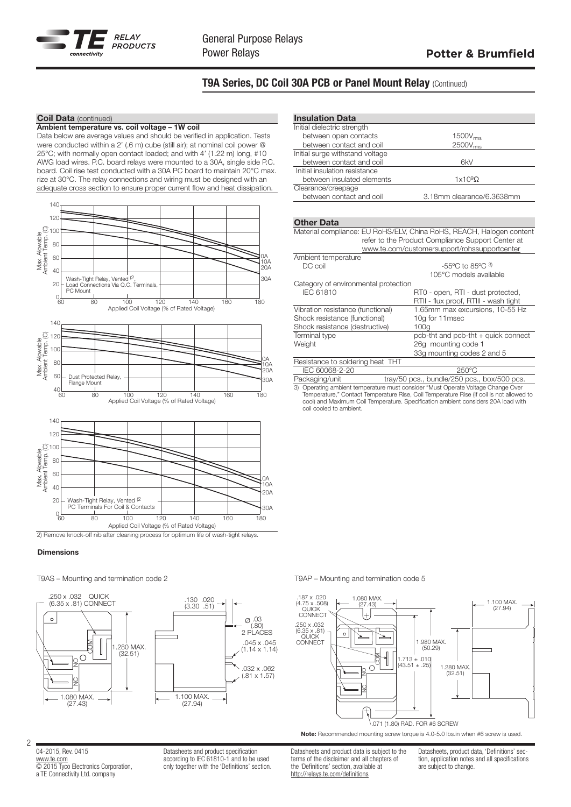

# T9A Series, DC Coil 30A PCB or Panel Mount Relay (Continued)

### **Coil Data** (continued)

Ambient temperature vs. coil voltage – 1W coil Data below are average values and should be verified in application. Tests were conducted within a 2' (.6 m) cube (still air); at nominal coil power @ 25°C; with normally open contact loaded; and with 4' (1.22 m) long, #10 AWG load wires. P.C. board relays were mounted to a 30A, single side P.C. board. Coil rise test conducted with a 30A PC board to maintain 20°C max. rize at 30°C. The relay connections and wiring must be designed with an adequate cross section to ensure proper current flow and heat dissipation.





#### **Dimensions**

T9AS – Mounting and termination code 2 T9AP – Mounting and termination code 5



## Insulation Data Initial dielectric strength

| between open contacts           | 1500V <sub>rms</sub>      |
|---------------------------------|---------------------------|
| between contact and coil        | $2500V$ <sub>rms</sub>    |
| Initial surge withstand voltage |                           |
| between contact and coil        | 6kV                       |
| Initial insulation resistance   |                           |
| between insulated elements      | $1x109\Omega$             |
| Clearance/creepage              |                           |
| between contact and coil        | 3.18mm clearance/6.3638mm |
|                                 |                           |

#### Other Data

| Material compliance: EU RoHS/ELV, China RoHS, REACH, Halogen content               |                                               |  |  |  |  |  |  |
|------------------------------------------------------------------------------------|-----------------------------------------------|--|--|--|--|--|--|
| refer to the Product Compliance Support Center at                                  |                                               |  |  |  |  |  |  |
| www.te.com/customersupport/rohssupportcenter                                       |                                               |  |  |  |  |  |  |
| Ambient temperature                                                                |                                               |  |  |  |  |  |  |
| DC coil                                                                            | $-55^{\circ}$ C to 85 $^{\circ}$ C $^{\circ}$ |  |  |  |  |  |  |
|                                                                                    | 105°C models available                        |  |  |  |  |  |  |
| Category of environmental protection                                               |                                               |  |  |  |  |  |  |
| <b>IEC 61810</b>                                                                   | RT0 - open, RTI - dust protected,             |  |  |  |  |  |  |
|                                                                                    | RTII - flux proof, RTIII - wash tight         |  |  |  |  |  |  |
| Vibration resistance (functional)                                                  | 1.65mm max excursions, 10-55 Hz               |  |  |  |  |  |  |
| Shock resistance (functional)                                                      | 10g for 11msec                                |  |  |  |  |  |  |
| Shock resistance (destructive)                                                     | 100q                                          |  |  |  |  |  |  |
| Terminal type                                                                      | pcb-tht and pcb-tht + quick connect           |  |  |  |  |  |  |
| Weight                                                                             | 26g mounting code 1                           |  |  |  |  |  |  |
|                                                                                    | 33g mounting codes 2 and 5                    |  |  |  |  |  |  |
| Resistance to soldering heat THT                                                   |                                               |  |  |  |  |  |  |
| IEC 60068-2-20                                                                     | $250^{\circ}$ C                               |  |  |  |  |  |  |
| Packaging/unit                                                                     | tray/50 pcs., bundle/250 pcs., box/500 pcs.   |  |  |  |  |  |  |
| 2) Operating ambient temperature must especially "Must Operate Velters Change Over |                                               |  |  |  |  |  |  |

3) Operating ambient temperature must consider "Must Operate Voltage Change Over Temperature," Contact Temperature Rise, Coil Temperature Rise (If coil is not allowed to cool) and Maximum Coil Temperature. Specification ambient considers 20A load with coil cooled to ambient.



Note: Recommended mounting screw torque is 4.0-5.0 lbs.in when #6 screw is used.

Datasheets and product data is subject to the terms of the disclaimer and all chapters of the 'Definitions' section, available at http://relays.te.com/definitions

Datasheets, product data, 'Definitions' section, application notes and all specifications are subject to change.

04-2015, Rev. 0415 www.te.com © 2015 Tyco Electronics Corporation, a TE Connectivity Ltd. company

Datasheets and product specification according to IEC 61810-1 and to be used only together with the 'Definitions' section.

2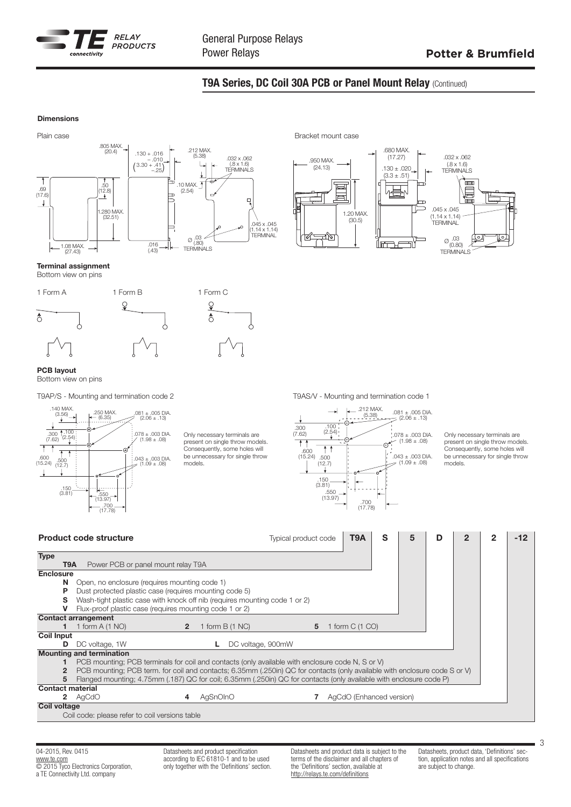

## T9A Series, DC Coil 30A PCB or Panel Mount Relay (Continued)

#### Dimensions





## Terminal assignment

Bottom view on pins



#### PCB layout Bottom view on pins



Only necessary terminals are present on single throw models. Consequently, some holes will be unnecessary for single throw models.

T9AP/S - Mounting and termination code 2 T9AS/V - Mounting and termination code 1



Only necessary terminals are present on single throw models. Consequently, some holes will be unnecessary for single throw models.

|                         | <b>Product code structure</b>                                                                                                                                                                                                                    |                |                  | Typical product code |                          | T9A | S | 5 | D | $\overline{2}$ | 2 | -12 |
|-------------------------|--------------------------------------------------------------------------------------------------------------------------------------------------------------------------------------------------------------------------------------------------|----------------|------------------|----------------------|--------------------------|-----|---|---|---|----------------|---|-----|
| <b>Type</b>             | T9A<br>Power PCB or panel mount relay T9A                                                                                                                                                                                                        |                |                  |                      |                          |     |   |   |   |                |   |     |
| <b>Enclosure</b>        |                                                                                                                                                                                                                                                  |                |                  |                      |                          |     |   |   |   |                |   |     |
| N<br>Р<br>s             | Open, no enclosure (requires mounting code 1)<br>Dust protected plastic case (requires mounting code 5)<br>Wash-tight plastic case with knock off nib (requires mounting code 1 or 2)<br>Flux-proof plastic case (requires mounting code 1 or 2) |                |                  |                      |                          |     |   |   |   |                |   |     |
|                         | <b>Contact arrangement</b>                                                                                                                                                                                                                       |                |                  |                      |                          |     |   |   |   |                |   |     |
|                         | 1 form $A(1 NQ)$                                                                                                                                                                                                                                 | $\overline{2}$ | 1 form $B(1 NC)$ | 5                    | 1 form C (1 CO)          |     |   |   |   |                |   |     |
| <b>Coil Input</b>       |                                                                                                                                                                                                                                                  |                |                  |                      |                          |     |   |   |   |                |   |     |
| D                       | DC voltage, 1W                                                                                                                                                                                                                                   |                |                  | DC voltage, 900mW    |                          |     |   |   |   |                |   |     |
|                         | <b>Mounting and termination</b>                                                                                                                                                                                                                  |                |                  |                      |                          |     |   |   |   |                |   |     |
|                         | PCB mounting; PCB terminals for coil and contacts (only available with enclosure code N, S or V)                                                                                                                                                 |                |                  |                      |                          |     |   |   |   |                |   |     |
| 2                       | PCB mounting; PCB term, for coil and contacts; 6.35mm (.250in) QC for contacts (only available with enclosure code S or V)                                                                                                                       |                |                  |                      |                          |     |   |   |   |                |   |     |
| 5                       | Flanged mounting; 4.75mm (.187) QC for coil; 6.35mm (.250in) QC for contacts (only available with enclosure code P)                                                                                                                              |                |                  |                      |                          |     |   |   |   |                |   |     |
| <b>Contact material</b> |                                                                                                                                                                                                                                                  |                |                  |                      |                          |     |   |   |   |                |   |     |
|                         | <b>2</b> AgCdO                                                                                                                                                                                                                                   | 4              | AgSnOInO         |                      | AgCdO (Enhanced version) |     |   |   |   |                |   |     |
| <b>Coil voltage</b>     |                                                                                                                                                                                                                                                  |                |                  |                      |                          |     |   |   |   |                |   |     |
|                         | Coil code: please refer to coil versions table                                                                                                                                                                                                   |                |                  |                      |                          |     |   |   |   |                |   |     |

04-2015, Rev. 0415 www.te.com **COLOGO ELECTRONICS** Corporation, a TE Connectivity Ltd. company

Datasheets and product specification according to IEC 61810-1 and to be used only together with the 'Definitions' section. Datasheets and product data is subject to the terms of the disclaimer and all chapters of the 'Definitions' section, available at http://relays.te.com/definitions

Datasheets, product data, 'Definitions' section, application notes and all specifications are subject to change.

3